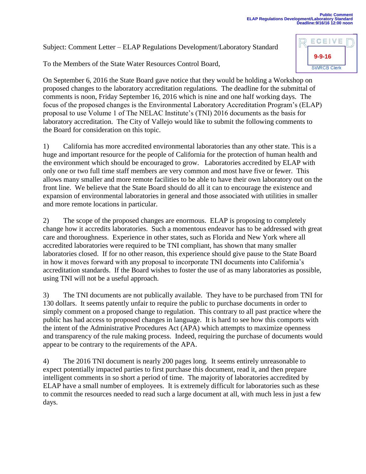Subject: Comment Letter – ELAP Regulations Development/Laboratory Standard

To the Members of the State Water Resources Control Board,

On September 6, 2016 the State Board gave notice that they would be holding a Workshop on proposed changes to the laboratory accreditation regulations. The deadline for the submittal of comments is noon, Friday September 16, 2016 which is nine and one half working days. The focus of the proposed changes is the Environmental Laboratory Accreditation Program's (ELAP) proposal to use Volume 1 of The NELAC Institute's (TNI) 2016 documents as the basis for laboratory accreditation. The City of Vallejo would like to submit the following comments to the Board for consideration on this topic.

1) California has more accredited environmental laboratories than any other state. This is a huge and important resource for the people of California for the protection of human health and the environment which should be encouraged to grow. Laboratories accredited by ELAP with only one or two full time staff members are very common and most have five or fewer. This allows many smaller and more remote facilities to be able to have their own laboratory out on the front line. We believe that the State Board should do all it can to encourage the existence and expansion of environmental laboratories in general and those associated with utilities in smaller and more remote locations in particular.

2) The scope of the proposed changes are enormous. ELAP is proposing to completely change how it accredits laboratories. Such a momentous endeavor has to be addressed with great care and thoroughness. Experience in other states, such as Florida and New York where all accredited laboratories were required to be TNI compliant, has shown that many smaller laboratories closed. If for no other reason, this experience should give pause to the State Board in how it moves forward with any proposal to incorporate TNI documents into California's accreditation standards. If the Board wishes to foster the use of as many laboratories as possible, using TNI will not be a useful approach.

3) The TNI documents are not publically available. They have to be purchased from TNI for 130 dollars. It seems patently unfair to require the public to purchase documents in order to simply comment on a proposed change to regulation. This contrary to all past practice where the public has had access to proposed changes in language. It is hard to see how this comports with the intent of the Administrative Procedures Act (APA) which attempts to maximize openness and transparency of the rule making process. Indeed, requiring the purchase of documents would appear to be contrary to the requirements of the APA.

4) The 2016 TNI document is nearly 200 pages long. It seems entirely unreasonable to expect potentially impacted parties to first purchase this document, read it, and then prepare intelligent comments in so short a period of time. The majority of laboratories accredited by ELAP have a small number of employees. It is extremely difficult for laboratories such as these to commit the resources needed to read such a large document at all, with much less in just a few days.